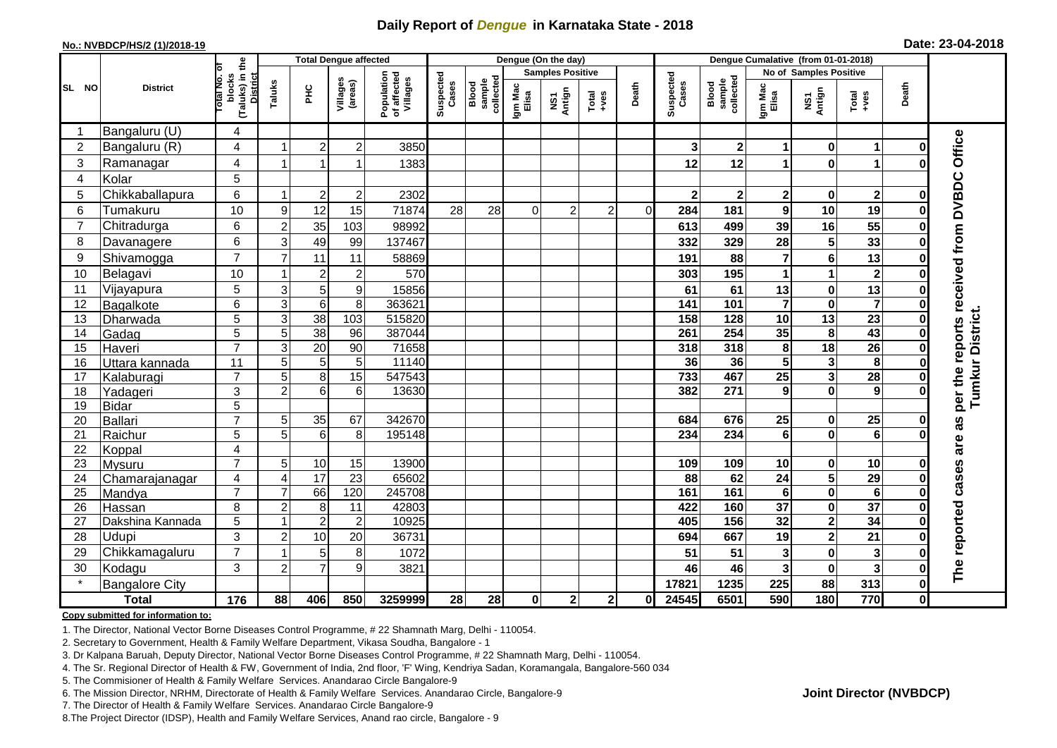## **Daily Report of** *Dengue* **in Karnataka State - 2018**

#### **No.: NVBDCP/HS/2 (1)/2018-19**

|  | Date: 23-04-2018 |  |
|--|------------------|--|
|--|------------------|--|

|                       |                       |                                                             |                  | <b>Total Dengue affected</b> |                     |                                       | Dengue (On the day)<br>Dengue Cumalative (from 01-01-2018) |                              |                  |                         |                  |          |                    |                              |                         |                         |                         |              |                                            |
|-----------------------|-----------------------|-------------------------------------------------------------|------------------|------------------------------|---------------------|---------------------------------------|------------------------------------------------------------|------------------------------|------------------|-------------------------|------------------|----------|--------------------|------------------------------|-------------------------|-------------------------|-------------------------|--------------|--------------------------------------------|
|                       |                       |                                                             |                  |                              |                     |                                       |                                                            |                              |                  | <b>Samples Positive</b> |                  |          |                    |                              |                         | No of Samples Positive  |                         |              |                                            |
| SL NO                 | <b>District</b>       | (Taluks) in the<br>otal No. of<br>blocks<br><b>District</b> | Taluks           | ΞÉ                           | Villages<br>(areas) | Population<br>of affected<br>Villages | Suspected<br>Cases                                         | sample<br>collected<br>Blood | Igm Mac<br>Elisa | NS1<br>Antign           | $Tota$<br>$+ves$ | Death    | Suspected<br>Cases | sample<br>collected<br>Blood | Igm Mac<br>Elisa        | NS1<br>Antign           | Total<br>$+ve$ s        | Death        |                                            |
|                       | Bangaluru (U)         | 4                                                           |                  |                              |                     |                                       |                                                            |                              |                  |                         |                  |          |                    |                              |                         |                         |                         |              |                                            |
| $\overline{2}$        | Bangaluru (R)         | 4                                                           |                  | $\overline{c}$               | $\overline{c}$      | 3850                                  |                                                            |                              |                  |                         |                  |          | 3                  | $\mathbf 2$                  | 1                       | $\bf{0}$                | 1                       | 0            |                                            |
| 3                     | Ramanagar             | 4                                                           |                  |                              |                     | 1383                                  |                                                            |                              |                  |                         |                  |          | 12                 | 12                           | 1                       | $\bf{0}$                |                         |              | per the reports received from DVBDC Office |
| $\boldsymbol{\Delta}$ | Kolar                 | 5                                                           |                  |                              |                     |                                       |                                                            |                              |                  |                         |                  |          |                    |                              |                         |                         |                         |              |                                            |
| 5                     | Chikkaballapura       | 6                                                           |                  | $\overline{2}$               | $\boldsymbol{2}$    | 2302                                  |                                                            |                              |                  |                         |                  |          |                    | $\mathbf 2$                  | 2                       | 0                       | $\mathbf{2}$            | O            |                                            |
| 6                     | Tumakuru              | 10                                                          | $\boldsymbol{9}$ | 12                           | 15                  | 71874                                 | 28                                                         | 28                           | $\overline{0}$   | $\overline{c}$          | $\boldsymbol{2}$ | $\Omega$ | 284                | 181                          | 9                       | 10                      | 19                      | 0            |                                            |
| $\overline{7}$        | Chitradurga           | 6                                                           | $\overline{c}$   | 35                           | 103                 | 98992                                 |                                                            |                              |                  |                         |                  |          | 613                | 499                          | 39                      | 16                      | 55                      | 0            |                                            |
| 8                     | Davanagere            | 6                                                           | 3                | 49                           | 99                  | 137467                                |                                                            |                              |                  |                         |                  |          | 332                | 329                          | 28                      | 5                       | 33                      | $\bf{0}$     |                                            |
| 9                     | Shivamogga            | $\overline{7}$                                              | $\overline{7}$   | 11                           | 11                  | 58869                                 |                                                            |                              |                  |                         |                  |          | 191                | 88                           | $\overline{\mathbf{r}}$ | $\bf 6$                 | 13                      | 0            |                                            |
| 10                    | Belagavi              | 10                                                          |                  | $\overline{2}$               | $\overline{2}$      | 570                                   |                                                            |                              |                  |                         |                  |          | 303                | 195                          | 1                       | $\mathbf{1}$            | $\overline{\mathbf{2}}$ | 0            |                                            |
| 11                    | Vijayapura            | 5                                                           | 3                | $\sqrt{5}$                   | 9                   | 15856                                 |                                                            |                              |                  |                         |                  |          | 61                 | 61                           | 13                      | $\pmb{0}$               | 13                      | 0            |                                            |
| 12                    | Bagalkote             | $\overline{6}$                                              | 3                | 6                            | 8                   | 363621                                |                                                            |                              |                  |                         |                  |          | $\frac{141}{141}$  | 101                          | $\overline{\mathbf{7}}$ | $\mathbf 0$             | $\overline{7}$          | $\bf{0}$     |                                            |
| 13                    | Dharwada              | $\overline{5}$                                              | $\overline{3}$   | $\overline{38}$              | 103                 | 515820                                |                                                            |                              |                  |                         |                  |          | 158                | 128                          | 10                      | $\overline{13}$         | $\overline{23}$         | $\bf{0}$     | Tumkur District.                           |
| 14                    | Gadag                 | $\overline{5}$                                              | 5                | $\overline{38}$              | 96                  | 387044                                |                                                            |                              |                  |                         |                  |          | 261                | 254                          | 35                      | 8                       | 43                      | 0            |                                            |
| 15                    | Haveri                | $\overline{7}$                                              | $\mathbf{3}$     | 20                           | 90                  | 71658                                 |                                                            |                              |                  |                         |                  |          | 318                | 318                          | 8                       | $\overline{18}$         | $\overline{26}$         | $\bf{0}$     |                                            |
| 16                    | Uttara kannada        | $\overline{11}$                                             | $\overline{5}$   | 5                            | 5                   | 11140                                 |                                                            |                              |                  |                         |                  |          | 36                 | 36                           | $\overline{\mathbf{5}}$ | $\overline{\mathbf{3}}$ | $\overline{\mathbf{8}}$ | 0            |                                            |
| 17                    | Kalaburagi            | $\overline{7}$                                              | 5                | 8                            | 15                  | 547543                                |                                                            |                              |                  |                         |                  |          | 733                | 467                          | $\overline{25}$         | $\overline{\mathbf{3}}$ | 28                      |              |                                            |
| 18                    | Yadageri              | 3                                                           | $\overline{2}$   | 6                            | 6                   | 13630                                 |                                                            |                              |                  |                         |                  |          | 382                | 271                          | 9                       | $\bf{0}$                | 9                       |              |                                            |
| 19                    | Bidar                 | 5                                                           |                  |                              |                     |                                       |                                                            |                              |                  |                         |                  |          |                    |                              |                         |                         |                         |              |                                            |
| 20                    | Ballari               | $\overline{7}$                                              | 5                | 35                           | 67                  | 342670                                |                                                            |                              |                  |                         |                  |          | 684                | 676                          | 25                      | $\mathbf 0$             | 25                      | 0            | as                                         |
| 21                    | Raichur               | 5                                                           | 5                | 6                            | 8                   | 195148                                |                                                            |                              |                  |                         |                  |          | 234                | 234                          | 6                       | $\bf{0}$                | $\overline{6}$          | U            |                                            |
| 22                    | Koppal                | 4                                                           |                  |                              |                     |                                       |                                                            |                              |                  |                         |                  |          |                    |                              |                         |                         |                         |              | are                                        |
| 23                    | Mysuru                | $\overline{7}$                                              | 5                | $10$                         | 15                  | 13900                                 |                                                            |                              |                  |                         |                  |          | 109                | 109                          | 10                      | 0                       | 10                      | 0            |                                            |
| 24                    | Chamarajanagar        | 4                                                           | 4                | 17                           | 23                  | 65602                                 |                                                            |                              |                  |                         |                  |          | 88                 | 62                           | 24                      | 5                       | 29                      | $\bf{0}$     |                                            |
| 25                    | Mandya                | $\overline{7}$                                              |                  | 66                           | 120                 | 245708                                |                                                            |                              |                  |                         |                  |          | 161                | 161                          | $6\phantom{a}$          | $\overline{\mathbf{0}}$ | $\overline{6}$          | $\bf{0}$     |                                            |
| 26                    | Hassan                | 8                                                           | $\overline{2}$   | 8                            | 11                  | 42803                                 |                                                            |                              |                  |                         |                  |          | 422                | 160                          | 37                      | $\mathbf 0$             | $\overline{37}$         | $\bf{0}$     |                                            |
| 27                    | Dakshina Kannada      | 5                                                           |                  | $\overline{2}$               | $\overline{c}$      | 10925                                 |                                                            |                              |                  |                         |                  |          | 405                | 156                          | $\overline{32}$         | $\overline{\mathbf{2}}$ | 34                      | $\bf{0}$     |                                            |
| 28                    | Udupi                 | 3                                                           | $\overline{2}$   | 10                           | 20                  | 36731                                 |                                                            |                              |                  |                         |                  |          | 694                | 667                          | 19                      | $\overline{\mathbf{2}}$ | 21                      | O            |                                            |
| 29                    | Chikkamagaluru        | $\overline{7}$                                              |                  | 5                            | 8                   | 1072                                  |                                                            |                              |                  |                         |                  |          | 51                 | 51                           | 3                       | $\pmb{0}$               | $\mathbf{3}$            | ŋ            | The reported cases                         |
| 30                    | Kodagu                | 3                                                           | $\overline{2}$   | 7                            | 9                   | 3821                                  |                                                            |                              |                  |                         |                  |          | 46                 | 46                           | 3                       | $\mathbf 0$             | $\overline{\mathbf{3}}$ | 0            |                                            |
|                       | <b>Bangalore City</b> |                                                             |                  |                              |                     |                                       |                                                            |                              |                  |                         |                  |          | 17821              | 1235                         | 225                     | 88                      | 313                     | $\mathbf 0$  |                                            |
|                       | <b>Total</b>          | $\frac{1}{176}$                                             | 88               | 406                          | 850                 | 3259999                               | 28                                                         | 28                           | $\mathbf{0}$     | $\mathbf{2}$            | $\mathbf{2}$     | 0l       | 24545              | 6501                         | 590                     | 180                     | 770                     | $\mathbf{0}$ |                                            |

#### **Copy submitted for information to:**

1. The Director, National Vector Borne Diseases Control Programme, # 22 Shamnath Marg, Delhi - 110054.

2. Secretary to Government, Health & Family Welfare Department, Vikasa Soudha, Bangalore - 1

3. Dr Kalpana Baruah, Deputy Director, National Vector Borne Diseases Control Programme, # 22 Shamnath Marg, Delhi - 110054.

4. The Sr. Regional Director of Health & FW, Government of India, 2nd floor, 'F' Wing, Kendriya Sadan, Koramangala, Bangalore-560 034

5. The Commisioner of Health & Family Welfare Services. Anandarao Circle Bangalore-9

6. The Mission Director, NRHM, Directorate of Health & Family Welfare Services. Anandarao Circle, Bangalore-9

7. The Director of Health & Family Welfare Services. Anandarao Circle Bangalore-9

8.The Project Director (IDSP), Health and Family Welfare Services, Anand rao circle, Bangalore - 9